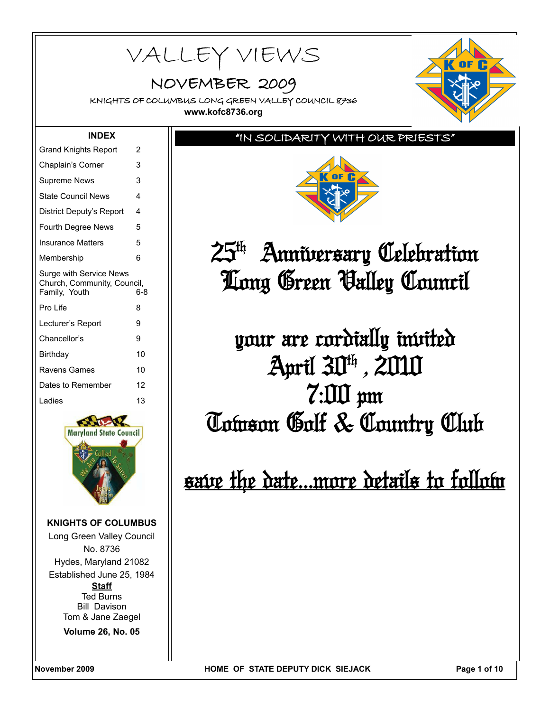VALLEY VIEWS

# NOVEMBER 2009

KNIGHTS OF COLUMBUS LONG GREEN VALLEY COUNCIL 8736 **www.kofc8736.org**



# "IN SOLIDARITY WITH OUR PRIESTS"



25th Anniversary Celebration Long Green Valley Council

your are cordially invited  $A$ pril  $30<sup>th</sup>$ ,  $2010$ 7:00 pm Towson Golf & Country Club

save the date...more details to follow

| . <i>.</i>                                                                     |    |  |  |  |
|--------------------------------------------------------------------------------|----|--|--|--|
| <b>Grand Knights Report</b>                                                    | 2  |  |  |  |
| Chaplain's Corner                                                              | 3  |  |  |  |
| Supreme News                                                                   | 3  |  |  |  |
| <b>State Council News</b>                                                      | 4  |  |  |  |
| District Deputy's Report                                                       |    |  |  |  |
| <b>Fourth Degree News</b>                                                      | 5  |  |  |  |
| Insurance Matters                                                              | 5  |  |  |  |
| Membership                                                                     | 6  |  |  |  |
| Surge with Service News<br>Church, Community, Council,<br>Family, Youth<br>6-8 |    |  |  |  |
| Pro Life                                                                       | 8  |  |  |  |
| Lecturer's Report                                                              | 9  |  |  |  |
| Chancellor's                                                                   | 9  |  |  |  |
|                                                                                |    |  |  |  |
| Birthday                                                                       | 10 |  |  |  |
| Ravens Games                                                                   | 10 |  |  |  |
| Dates to Remember                                                              | 12 |  |  |  |
| Ladies                                                                         | 13 |  |  |  |

**INDEX**



**KNIGHTS OF COLUMBUS** Long Green Valley Council No. 8736 Hydes, Maryland 21082 Established June 25, 1984 **Staff** Ted Burns Bill Davison Tom & Jane Zaegel **Volume 26, No. 05**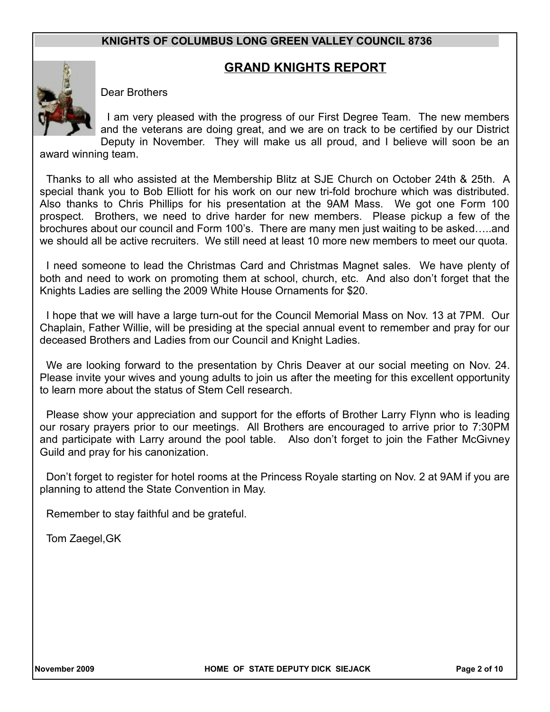## **GRAND KNIGHTS REPORT**



Dear Brothers

I am very pleased with the progress of our First Degree Team. The new members and the veterans are doing great, and we are on track to be certified by our District Deputy in November. They will make us all proud, and I believe will soon be an

award winning team.

Thanks to all who assisted at the Membership Blitz at SJE Church on October 24th & 25th. A special thank you to Bob Elliott for his work on our new tri-fold brochure which was distributed. Also thanks to Chris Phillips for his presentation at the 9AM Mass. We got one Form 100 prospect. Brothers, we need to drive harder for new members. Please pickup a few of the brochures about our council and Form 100's. There are many men just waiting to be asked…..and we should all be active recruiters. We still need at least 10 more new members to meet our quota.

I need someone to lead the Christmas Card and Christmas Magnet sales. We have plenty of both and need to work on promoting them at school, church, etc. And also don't forget that the Knights Ladies are selling the 2009 White House Ornaments for \$20.

I hope that we will have a large turn-out for the Council Memorial Mass on Nov. 13 at 7PM. Our Chaplain, Father Willie, will be presiding at the special annual event to remember and pray for our deceased Brothers and Ladies from our Council and Knight Ladies.

We are looking forward to the presentation by Chris Deaver at our social meeting on Nov. 24. Please invite your wives and young adults to join us after the meeting for this excellent opportunity to learn more about the status of Stem Cell research.

Please show your appreciation and support for the efforts of Brother Larry Flynn who is leading our rosary prayers prior to our meetings. All Brothers are encouraged to arrive prior to 7:30PM and participate with Larry around the pool table. Also don't forget to join the Father McGivney Guild and pray for his canonization.

Don't forget to register for hotel rooms at the Princess Royale starting on Nov. 2 at 9AM if you are planning to attend the State Convention in May.

Remember to stay faithful and be grateful.

Tom Zaegel,GK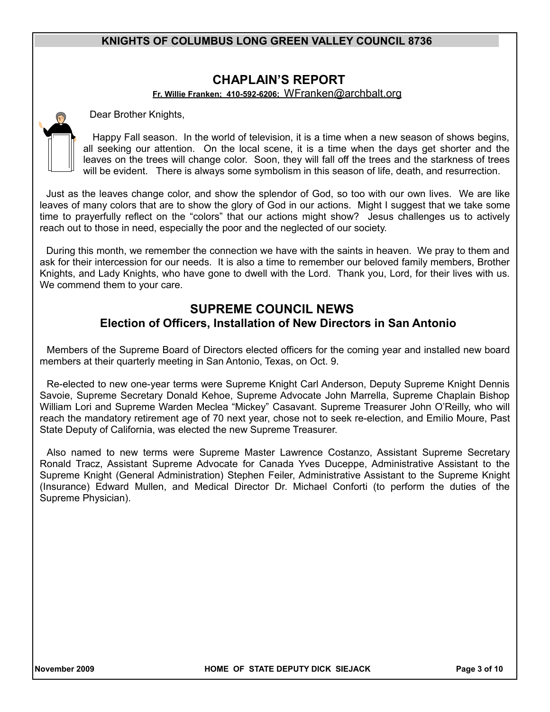## **CHAPLAIN'S REPORT**

#### **Fr. Willie Franken; 410-592-6206;** [WFranken@archbalt.org](mailto:WFranken@archbalt.org)

Dear Brother Knights,

 Happy Fall season. In the world of television, it is a time when a new season of shows begins, all seeking our attention. On the local scene, it is a time when the days get shorter and the leaves on the trees will change color. Soon, they will fall off the trees and the starkness of trees will be evident. There is always some symbolism in this season of life, death, and resurrection.

Just as the leaves change color, and show the splendor of God, so too with our own lives. We are like leaves of many colors that are to show the glory of God in our actions. Might I suggest that we take some time to prayerfully reflect on the "colors" that our actions might show? Jesus challenges us to actively reach out to those in need, especially the poor and the neglected of our society.

During this month, we remember the connection we have with the saints in heaven. We pray to them and ask for their intercession for our needs. It is also a time to remember our beloved family members, Brother Knights, and Lady Knights, who have gone to dwell with the Lord. Thank you, Lord, for their lives with us. We commend them to your care.

## **SUPREME COUNCIL NEWS Election of Officers, Installation of New Directors in San Antonio**

Members of the Supreme Board of Directors elected officers for the coming year and installed new board members at their quarterly meeting in San Antonio, Texas, on Oct. 9.

Re-elected to new one-year terms were Supreme Knight Carl Anderson, Deputy Supreme Knight Dennis Savoie, Supreme Secretary Donald Kehoe, Supreme Advocate John Marrella, Supreme Chaplain Bishop William Lori and Supreme Warden Meclea "Mickey" Casavant. Supreme Treasurer John O'Reilly, who will reach the mandatory retirement age of 70 next year, chose not to seek re-election, and Emilio Moure, Past State Deputy of California, was elected the new Supreme Treasurer.

Also named to new terms were Supreme Master Lawrence Costanzo, Assistant Supreme Secretary Ronald Tracz, Assistant Supreme Advocate for Canada Yves Duceppe, Administrative Assistant to the Supreme Knight (General Administration) Stephen Feiler, Administrative Assistant to the Supreme Knight (Insurance) Edward Mullen, and Medical Director Dr. Michael Conforti (to perform the duties of the Supreme Physician).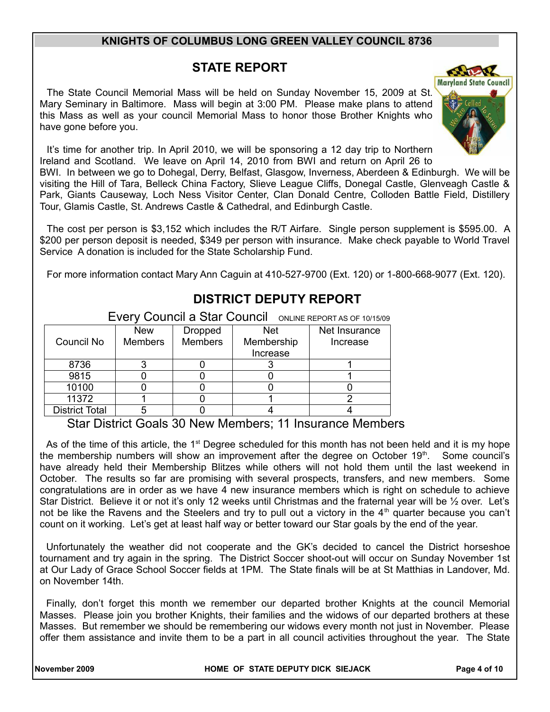# **STATE REPORT**

The State Council Memorial Mass will be held on Sunday November 15, 2009 at St. Mary Seminary in Baltimore. Mass will begin at 3:00 PM. Please make plans to attend this Mass as well as your council Memorial Mass to honor those Brother Knights who have gone before you.



It's time for another trip. In April 2010, we will be sponsoring a 12 day trip to Northern Ireland and Scotland. We leave on April 14, 2010 from BWI and return on April 26 to BWI. In between we go to Dohegal, Derry, Belfast, Glasgow, Inverness, Aberdeen & Edinburgh. We will be visiting the Hill of Tara, Belleck China Factory, Slieve League Cliffs, Donegal Castle, Glenveagh Castle & Park, Giants Causeway, Loch Ness Visitor Center, Clan Donald Centre, Colloden Battle Field, Distillery Tour, Glamis Castle, St. Andrews Castle & Cathedral, and Edinburgh Castle.

The cost per person is \$3,152 which includes the R/T Airfare. Single person supplement is \$595.00. A \$200 per person deposit is needed, \$349 per person with insurance. Make check payable to World Travel Service A donation is included for the State Scholarship Fund.

For more information contact Mary Ann Caguin at 410-527-9700 (Ext. 120) or 1-800-668-9077 (Ext. 120).

| Every Council a Star Council ONLINE REPORT AS OF 10/15/09 |                |                |            |               |  |  |
|-----------------------------------------------------------|----------------|----------------|------------|---------------|--|--|
|                                                           | <b>New</b>     | <b>Dropped</b> | <b>Net</b> | Net Insurance |  |  |
| Council No                                                | <b>Members</b> | <b>Members</b> | Membership | Increase      |  |  |
|                                                           |                |                | Increase   |               |  |  |
| 8736                                                      |                |                |            |               |  |  |
| 9815                                                      |                |                |            |               |  |  |
| 10100                                                     |                |                |            |               |  |  |
| 11372                                                     |                |                |            |               |  |  |
| <b>District Total</b>                                     |                |                |            |               |  |  |

# **DISTRICT DEPUTY REPORT**

Star District Goals 30 New Members; 11 Insurance Members

As of the time of this article, the 1<sup>st</sup> Degree scheduled for this month has not been held and it is my hope the membership numbers will show an improvement after the degree on October  $19<sup>th</sup>$ . Some council's have already held their Membership Blitzes while others will not hold them until the last weekend in October. The results so far are promising with several prospects, transfers, and new members. Some congratulations are in order as we have 4 new insurance members which is right on schedule to achieve Star District. Believe it or not it's only 12 weeks until Christmas and the fraternal year will be ½ over. Let's not be like the Ravens and the Steelers and try to pull out a victory in the  $4<sup>th</sup>$  quarter because you can't count on it working. Let's get at least half way or better toward our Star goals by the end of the year.

Unfortunately the weather did not cooperate and the GK's decided to cancel the District horseshoe tournament and try again in the spring. The District Soccer shoot-out will occur on Sunday November 1st at Our Lady of Grace School Soccer fields at 1PM. The State finals will be at St Matthias in Landover, Md. on November 14th.

Finally, don't forget this month we remember our departed brother Knights at the council Memorial Masses. Please join you brother Knights, their families and the widows of our departed brothers at these Masses. But remember we should be remembering our widows every month not just in November. Please offer them assistance and invite them to be a part in all council activities throughout the year. The State

**November 2009 HOME OF STATE DEPUTY DICK SIEJACK Page 4 of 10**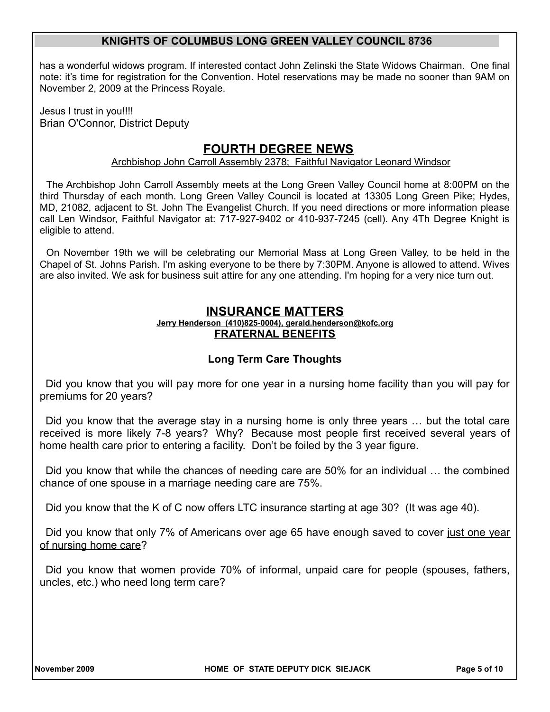has a wonderful widows program. If interested contact John Zelinski the State Widows Chairman. One final note: it's time for registration for the Convention. Hotel reservations may be made no sooner than 9AM on November 2, 2009 at the Princess Royale.

Jesus I trust in you!!!! Brian O'Connor, District Deputy

## **FOURTH DEGREE NEWS**

Archbishop John Carroll Assembly 2378; Faithful Navigator Leonard Windsor

The Archbishop John Carroll Assembly meets at the Long Green Valley Council home at 8:00PM on the third Thursday of each month. Long Green Valley Council is located at 13305 Long Green Pike; Hydes, MD, 21082, adjacent to St. John The Evangelist Church. If you need directions or more information please call Len Windsor, Faithful Navigator at: 717-927-9402 or 410-937-7245 (cell). Any 4Th Degree Knight is eligible to attend.

On November 19th we will be celebrating our Memorial Mass at Long Green Valley, to be held in the Chapel of St. Johns Parish. I'm asking everyone to be there by 7:30PM. Anyone is allowed to attend. Wives are also invited. We ask for business suit attire for any one attending. I'm hoping for a very nice turn out.

### **INSURANCE MATTERS**

#### **Jerry Henderson (410)825-0004), gerald.henderson@kofc.org FRATERNAL BENEFITS**

### **Long Term Care Thoughts**

Did you know that you will pay more for one year in a nursing home facility than you will pay for premiums for 20 years?

Did you know that the average stay in a nursing home is only three years … but the total care received is more likely 7-8 years? Why? Because most people first received several years of home health care prior to entering a facility. Don't be foiled by the 3 year figure.

Did you know that while the chances of needing care are 50% for an individual … the combined chance of one spouse in a marriage needing care are 75%.

Did you know that the K of C now offers LTC insurance starting at age 30? (It was age 40).

Did you know that only 7% of Americans over age 65 have enough saved to cover just one year of nursing home care?

Did you know that women provide 70% of informal, unpaid care for people (spouses, fathers, uncles, etc.) who need long term care?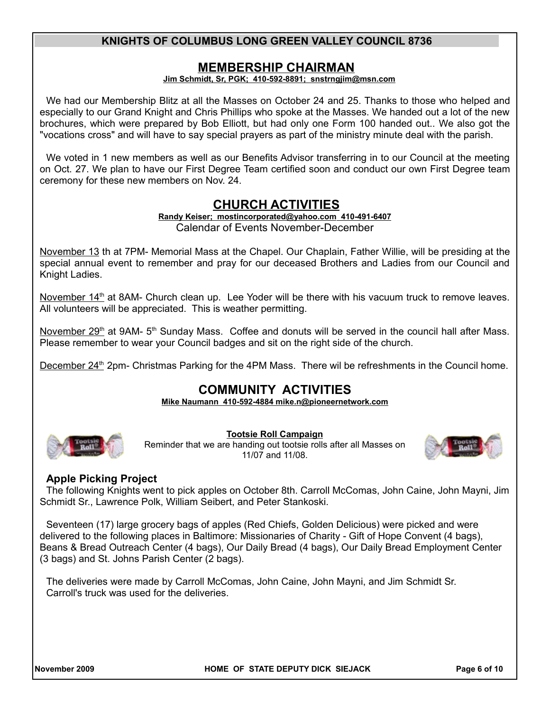### **MEMBERSHIP CHAIRMAN**

#### **Jim Schmidt, Sr, PGK; 410-592-8891; snstrngjim@msn.com**

We had our Membership Blitz at all the Masses on October 24 and 25. Thanks to those who helped and especially to our Grand Knight and Chris Phillips who spoke at the Masses. We handed out a lot of the new brochures, which were prepared by Bob Elliott, but had only one Form 100 handed out.. We also got the "vocations cross" and will have to say special prayers as part of the ministry minute deal with the parish.

We voted in 1 new members as well as our Benefits Advisor transferring in to our Council at the meeting on Oct. 27. We plan to have our First Degree Team certified soon and conduct our own First Degree team ceremony for these new members on Nov. 24.

# **CHURCH ACTIVITIES**

#### **Randy Keiser; [mostincorporated@yahoo.com](mailto:mostincorporated@yahoo.com) 410-491-6407** Calendar of Events November-December

November 13 th at 7PM- Memorial Mass at the Chapel. Our Chaplain, Father Willie, will be presiding at the special annual event to remember and pray for our deceased Brothers and Ladies from our Council and Knight Ladies.

November 14<sup>th</sup> at 8AM- Church clean up. Lee Yoder will be there with his vacuum truck to remove leaves. All volunteers will be appreciated. This is weather permitting.

November 29<sup>th</sup> at 9AM- 5<sup>th</sup> Sunday Mass. Coffee and donuts will be served in the council hall after Mass. Please remember to wear your Council badges and sit on the right side of the church.

December 24<sup>th</sup> 2pm- Christmas Parking for the 4PM Mass. There wil be refreshments in the Council home.

# **COMMUNITY ACTIVITIES**

 **Mike Naumann 410-592-4884 mike.n@pioneernetwork.com**



#### **Tootsie Roll Campaign**

Reminder that we are handing out tootsie rolls after all Masses on 11/07 and 11/08.



### **Apple Picking Project**

The following Knights went to pick apples on October 8th. Carroll McComas, John Caine, John Mayni, Jim Schmidt Sr., Lawrence Polk, William Seibert, and Peter Stankoski.

Seventeen (17) large grocery bags of apples (Red Chiefs, Golden Delicious) were picked and were delivered to the following places in Baltimore: Missionaries of Charity - Gift of Hope Convent (4 bags), Beans & Bread Outreach Center (4 bags), Our Daily Bread (4 bags), Our Daily Bread Employment Center (3 bags) and St. Johns Parish Center (2 bags).

The deliveries were made by Carroll McComas, John Caine, John Mayni, and Jim Schmidt Sr. Carroll's truck was used for the deliveries.

**November 2009 HOME OF STATE DEPUTY DICK SIEJACK Page 6 of 10**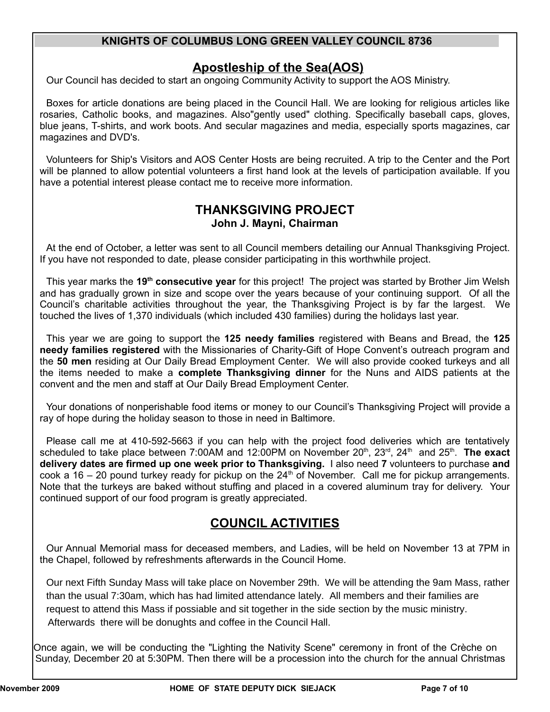# **Apostleship of the Sea(AOS)**

Our Council has decided to start an ongoing Community Activity to support the AOS Ministry.

Boxes for article donations are being placed in the Council Hall. We are looking for religious articles like rosaries, Catholic books, and magazines. Also"gently used" clothing. Specifically baseball caps, gloves, blue jeans, T-shirts, and work boots. And secular magazines and media, especially sports magazines, car magazines and DVD's.

Volunteers for Ship's Visitors and AOS Center Hosts are being recruited. A trip to the Center and the Port will be planned to allow potential volunteers a first hand look at the levels of participation available. If you have a potential interest please contact me to receive more information.

## **THANKSGIVING PROJECT John J. Mayni, Chairman**

At the end of October, a letter was sent to all Council members detailing our Annual Thanksgiving Project. If you have not responded to date, please consider participating in this worthwhile project.

This year marks the **19th consecutive year** for this project! The project was started by Brother Jim Welsh and has gradually grown in size and scope over the years because of your continuing support. Of all the Council's charitable activities throughout the year, the Thanksgiving Project is by far the largest. We touched the lives of 1,370 individuals (which included 430 families) during the holidays last year.

This year we are going to support the **125 needy families** registered with Beans and Bread, the **125 needy families registered** with the Missionaries of Charity-Gift of Hope Convent's outreach program and the **50 men** residing at Our Daily Bread Employment Center. We will also provide cooked turkeys and all the items needed to make a **complete Thanksgiving dinner** for the Nuns and AIDS patients at the convent and the men and staff at Our Daily Bread Employment Center.

Your donations of nonperishable food items or money to our Council's Thanksgiving Project will provide a ray of hope during the holiday season to those in need in Baltimore.

Please call me at 410-592-5663 if you can help with the project food deliveries which are tentatively scheduled to take place between 7:00AM and 12:00PM on November 20<sup>th</sup>, 23<sup>rd</sup>, 24<sup>th</sup> and 25<sup>th</sup>. The exact **delivery dates are firmed up one week prior to Thanksgiving.** I also need **7** volunteers to purchase **and**  cook a 16 – 20 pound turkey ready for pickup on the  $24<sup>th</sup>$  of November. Call me for pickup arrangements. Note that the turkeys are baked without stuffing and placed in a covered aluminum tray for delivery. Your continued support of our food program is greatly appreciated.

# **COUNCIL ACTIVITIES**

Our Annual Memorial mass for deceased members, and Ladies, will be held on November 13 at 7PM in the Chapel, followed by refreshments afterwards in the Council Home.

Our next Fifth Sunday Mass will take place on November 29th. We will be attending the 9am Mass, rather than the usual 7:30am, which has had limited attendance lately. All members and their families are request to attend this Mass if possiable and sit together in the side section by the music ministry. Afterwards there will be donughts and coffee in the Council Hall.

 Once again, we will be conducting the "Lighting the Nativity Scene" ceremony in front of the Crèche on Sunday, December 20 at 5:30PM. Then there will be a procession into the church for the annual Christmas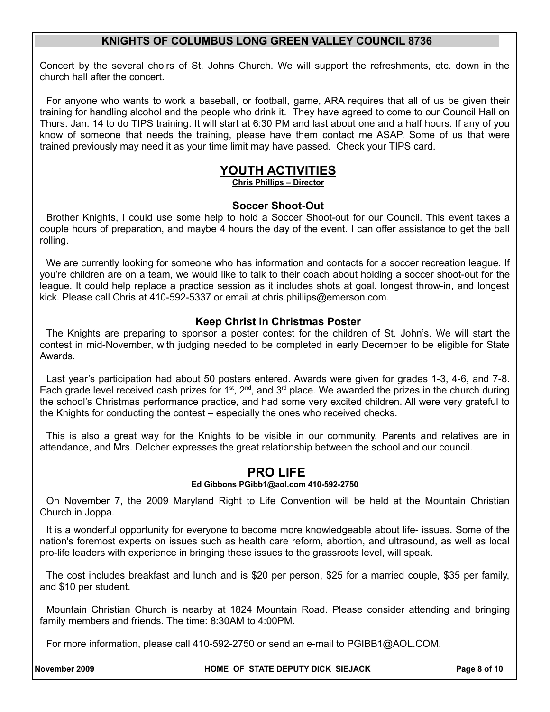Concert by the several choirs of St. Johns Church. We will support the refreshments, etc. down in the church hall after the concert.

For anyone who wants to work a baseball, or football, game, ARA requires that all of us be given their training for handling alcohol and the people who drink it. They have agreed to come to our Council Hall on Thurs. Jan. 14 to do TIPS training. It will start at 6:30 PM and last about one and a half hours. If any of you know of someone that needs the training, please have them contact me ASAP. Some of us that were trained previously may need it as your time limit may have passed. Check your TIPS card.

## **YOUTH ACTIVITIES**

**Chris Phillips – Director**

### **Soccer Shoot-Out**

Brother Knights, I could use some help to hold a Soccer Shoot-out for our Council. This event takes a couple hours of preparation, and maybe 4 hours the day of the event. I can offer assistance to get the ball rolling.

We are currently looking for someone who has information and contacts for a soccer recreation league. If you're children are on a team, we would like to talk to their coach about holding a soccer shoot-out for the league. It could help replace a practice session as it includes shots at goal, longest throw-in, and longest kick. Please call Chris at 410-592-5337 or email at chris.phillips@emerson.com.

#### **Keep Christ In Christmas Poster**

The Knights are preparing to sponsor a poster contest for the children of St. John's. We will start the contest in mid-November, with judging needed to be completed in early December to be eligible for State Awards.

Last year's participation had about 50 posters entered. Awards were given for grades 1-3, 4-6, and 7-8. Each grade level received cash prizes for 1<sup>st</sup>, 2<sup>nd</sup>, and 3<sup>rd</sup> place. We awarded the prizes in the church during the school's Christmas performance practice, and had some very excited children. All were very grateful to the Knights for conducting the contest – especially the ones who received checks.

This is also a great way for the Knights to be visible in our community. Parents and relatives are in attendance, and Mrs. Delcher expresses the great relationship between the school and our council.

### **PRO LIFE**

#### **Ed Gibbons PGibb1@aol.com 410-592-2750**

On November 7, the 2009 Maryland Right to Life Convention will be held at the Mountain Christian Church in Joppa.

It is a wonderful opportunity for everyone to become more knowledgeable about life- issues. Some of the nation's foremost experts on issues such as health care reform, abortion, and ultrasound, as well as local pro-life leaders with experience in bringing these issues to the grassroots level, will speak.

The cost includes breakfast and lunch and is \$20 per person, \$25 for a married couple, \$35 per family, and \$10 per student.

Mountain Christian Church is nearby at 1824 Mountain Road. Please consider attending and bringing family members and friends. The time: 8:30AM to 4:00PM.

For more information, please call 410-592-2750 or send an e-mail to PGIBB1@AOL.COM.

November 2009 **Ack and State HOME OF STATE DEPUTY DICK SIEJACK** Page 8 of 10 **Page 8 of 10**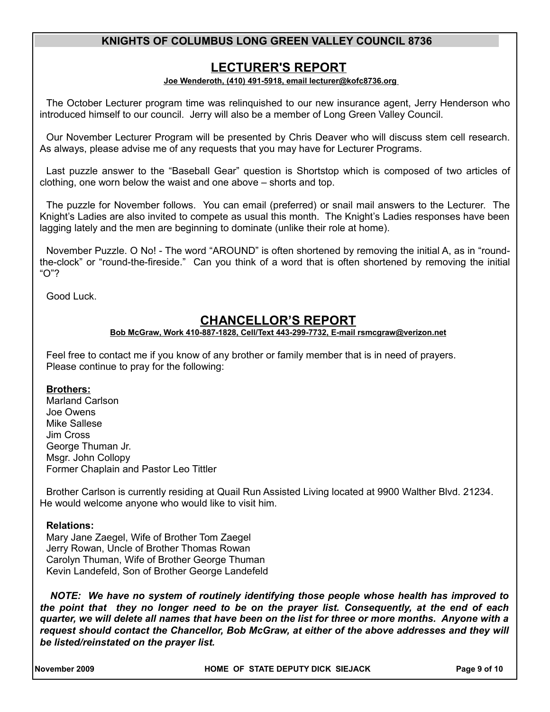## **LECTURER'S REPORT**

 **Joe Wenderoth, (410) 491-5918, email lecturer@kofc8736.org**

The October Lecturer program time was relinquished to our new insurance agent, Jerry Henderson who introduced himself to our council. Jerry will also be a member of Long Green Valley Council.

Our November Lecturer Program will be presented by Chris Deaver who will discuss stem cell research. As always, please advise me of any requests that you may have for Lecturer Programs.

Last puzzle answer to the "Baseball Gear" question is Shortstop which is composed of two articles of clothing, one worn below the waist and one above – shorts and top.

The puzzle for November follows. You can email (preferred) or snail mail answers to the Lecturer. The Knight's Ladies are also invited to compete as usual this month. The Knight's Ladies responses have been lagging lately and the men are beginning to dominate (unlike their role at home).

November Puzzle. O No! - The word "AROUND" is often shortened by removing the initial A, as in "roundthe-clock" or "round-the-fireside." Can you think of a word that is often shortened by removing the initial "O"?

Good Luck.

# **CHANCELLOR'S REPORT**

#### **Bob McGraw, Work 410-887-1828, Cell/Text 443-299-7732, E-mail rsmcgraw@verizon.net**

Feel free to contact me if you know of any brother or family member that is in need of prayers. Please continue to pray for the following:

#### **Brothers:**

Marland Carlson Joe Owens Mike Sallese Jim Cross George Thuman Jr. Msgr. John Collopy Former Chaplain and Pastor Leo Tittler

Brother Carlson is currently residing at Quail Run Assisted Living located at 9900 Walther Blvd. 21234. He would welcome anyone who would like to visit him.

#### **Relations:**

Mary Jane Zaegel, Wife of Brother Tom Zaegel Jerry Rowan, Uncle of Brother Thomas Rowan Carolyn Thuman, Wife of Brother George Thuman Kevin Landefeld, Son of Brother George Landefeld

*NOTE: We have no system of routinely identifying those people whose health has improved to the point that they no longer need to be on the prayer list. Consequently, at the end of each quarter, we will delete all names that have been on the list for three or more months. Anyone with a request should contact the Chancellor, Bob McGraw, at either of the above addresses and they will be listed/reinstated on the prayer list.* 

**November 2009 HOME OF STATE DEPUTY DICK SIEJACK Page 9 of 10**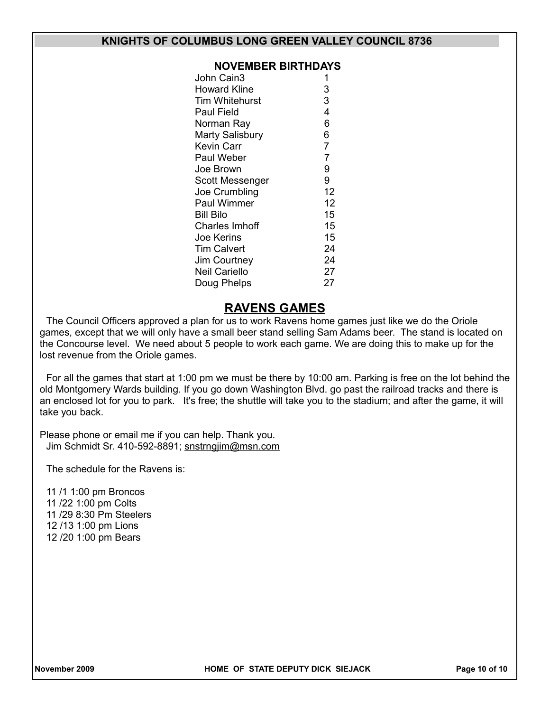### **NOVEMBER BIRTHDAYS**

| John Cain3            | 1              |
|-----------------------|----------------|
| Howard Kline          | 3              |
| Tim Whitehurst        | 3              |
| Paul Field            | 4              |
| Norman Ray            | 6              |
| Marty Salisbury       | 6              |
| Kevin Carr            | $\overline{7}$ |
| Paul Weber            | $\overline{7}$ |
| Joe Brown             | 9              |
| Scott Messenger       | 9              |
| Joe Crumbling         | 12             |
| <b>Paul Wimmer</b>    | 12             |
| Bill Bilo             | 15             |
| <b>Charles Imhoff</b> | 15             |
| Joe Kerins            | 15             |
| Tim Calvert           | 24             |
| Jim Courtney          | 24             |
| Neil Cariello         | 27             |
| Doug Phelps           | 27             |
|                       |                |

### **RAVENS GAMES**

The Council Officers approved a plan for us to work Ravens home games just like we do the Oriole games, except that we will only have a small beer stand selling Sam Adams beer. The stand is located on the Concourse level. We need about 5 people to work each game. We are doing this to make up for the lost revenue from the Oriole games.

For all the games that start at 1:00 pm we must be there by 10:00 am. Parking is free on the lot behind the old Montgomery Wards building. If you go down Washington Blvd. go past the railroad tracks and there is an enclosed lot for you to park. It's free; the shuttle will take you to the stadium; and after the game, it will take you back.

Please phone or email me if you can help. Thank you. Jim Schmidt Sr. 410-592-8891; snstrngjim@msn.com

The schedule for the Ravens is:

11 /1 1:00 pm Broncos 11 /22 1:00 pm Colts 11 /29 8:30 Pm Steelers 12 /13 1:00 pm Lions 12 /20 1:00 pm Bears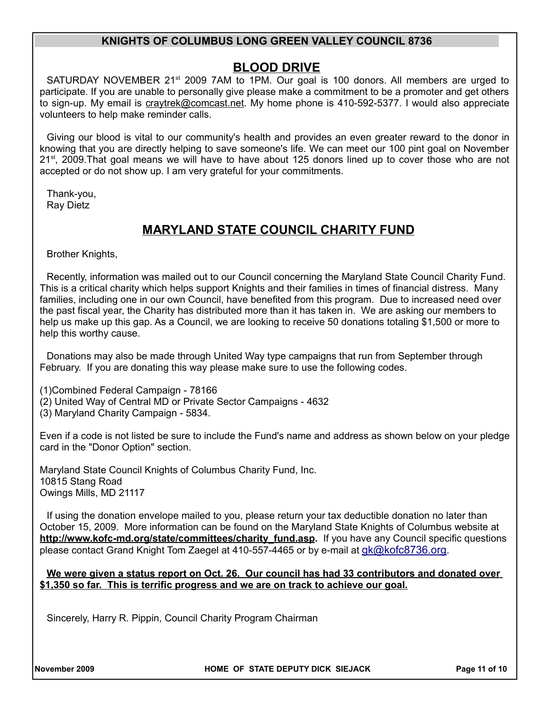## **BLOOD DRIVE**

SATURDAY NOVEMBER 21<sup>st</sup> 2009 7AM to 1PM. Our goal is 100 donors. All members are urged to participate. If you are unable to personally give please make a commitment to be a promoter and get others to sign-up. My email is craytrek@comcast.net. My home phone is 410-592-5377. I would also appreciate volunteers to help make reminder calls.

Giving our blood is vital to our community's health and provides an even greater reward to the donor in knowing that you are directly helping to save someone's life. We can meet our 100 pint goal on November 21st, 2009.That goal means we will have to have about 125 donors lined up to cover those who are not accepted or do not show up. I am very grateful for your commitments.

Thank-you, Ray Dietz

## **MARYLAND STATE COUNCIL CHARITY FUND**

Brother Knights,

Recently, information was mailed out to our Council concerning the Maryland State Council Charity Fund. This is a critical charity which helps support Knights and their families in times of financial distress. Many families, including one in our own Council, have benefited from this program. Due to increased need over the past fiscal year, the Charity has distributed more than it has taken in. We are asking our members to help us make up this gap. As a Council, we are looking to receive 50 donations totaling \$1,500 or more to help this worthy cause.

Donations may also be made through United Way type campaigns that run from September through February. If you are donating this way please make sure to use the following codes.

(1)Combined Federal Campaign - 78166

- (2) United Way of Central MD or Private Sector Campaigns 4632
- (3) Maryland Charity Campaign 5834.

Even if a code is not listed be sure to include the Fund's name and address as shown below on your pledge card in the "Donor Option" section.

Maryland State Council Knights of Columbus Charity Fund, Inc. 10815 Stang Road Owings Mills, MD 21117

If using the donation envelope mailed to you, please return your tax deductible donation no later than October 15, 2009. More information can be found on the Maryland State Knights of Columbus website at **http://www.kofc-md.org/state/committees/charity\_fund.asp.** If you have any Council specific questions please contact Grand Knight Tom Zaegel at 410-557-4465 or by e-mail at [gk@kofc8736.org](mailto:gk@kofc8736.org).

 **We were given a status report on Oct. 26. Our council has had 33 contributors and donated over \$1,350 so far. This is terrific progress and we are on track to achieve our goal.**

Sincerely, Harry R. Pippin, Council Charity Program Chairman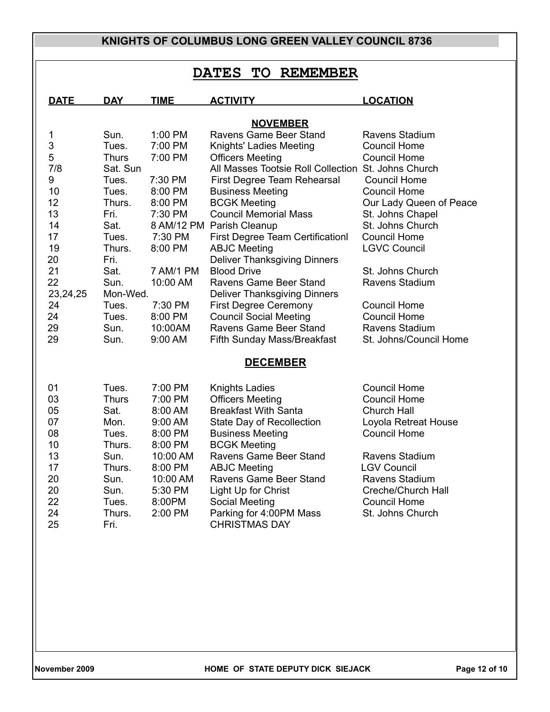# **DATES TO REMEMBER**

| <b>DATE</b>     | <b>DAY</b>   | <b>TIME</b> | <b>ACTIVITY</b>                                     | <b>LOCATION</b>         |  |  |  |
|-----------------|--------------|-------------|-----------------------------------------------------|-------------------------|--|--|--|
| <b>NOVEMBER</b> |              |             |                                                     |                         |  |  |  |
| 1               | Sun.         | 1:00 PM     | Ravens Game Beer Stand                              | Ravens Stadium          |  |  |  |
| 3               | Tues.        | 7:00 PM     | Knights' Ladies Meeting                             | <b>Council Home</b>     |  |  |  |
| 5               | <b>Thurs</b> | 7:00 PM     | <b>Officers Meeting</b>                             | <b>Council Home</b>     |  |  |  |
| 7/8             | Sat. Sun     |             | All Masses Tootsie Roll Collection St. Johns Church |                         |  |  |  |
| 9               | Tues.        | 7:30 PM     | First Degree Team Rehearsal                         | <b>Council Home</b>     |  |  |  |
| 10              | Tues.        | 8:00 PM     | <b>Business Meeting</b>                             | <b>Council Home</b>     |  |  |  |
| 12              | Thurs.       | 8:00 PM     | <b>BCGK Meeting</b>                                 | Our Lady Queen of Peace |  |  |  |
| 13              | Fri.         | 7:30 PM     | <b>Council Memorial Mass</b>                        | St. Johns Chapel        |  |  |  |
| 14              | Sat.         | 8 AM/12 PM  | Parish Cleanup                                      | St. Johns Church        |  |  |  |
| 17              | Tues.        | 7:30 PM     | <b>First Degree Team Certificationl</b>             | <b>Council Home</b>     |  |  |  |
| 19              | Thurs.       | 8:00 PM     | <b>ABJC Meeting</b>                                 | <b>LGVC Council</b>     |  |  |  |
| 20              | Fri.         |             | <b>Deliver Thanksgiving Dinners</b>                 |                         |  |  |  |
| 21              | Sat.         | 7 AM/1 PM   | <b>Blood Drive</b>                                  | St. Johns Church        |  |  |  |
| 22              | Sun.         | 10:00 AM    | Ravens Game Beer Stand                              | Ravens Stadium          |  |  |  |
| 23,24,25        | Mon-Wed.     |             | <b>Deliver Thanksgiving Dinners</b>                 |                         |  |  |  |
| 24              | Tues.        | 7:30 PM     | <b>First Degree Ceremony</b>                        | <b>Council Home</b>     |  |  |  |
| 24              | Tues.        | 8:00 PM     | <b>Council Social Meeting</b>                       | <b>Council Home</b>     |  |  |  |
| 29              | Sun.         | 10:00AM     | Ravens Game Beer Stand                              | Ravens Stadium          |  |  |  |
| 29              | Sun.         | 9:00 AM     | Fifth Sunday Mass/Breakfast                         | St. Johns/Council Home  |  |  |  |
| <b>DECEMBER</b> |              |             |                                                     |                         |  |  |  |
| 01              | Tues.        | 7:00 PM     | Knights Ladies                                      | <b>Council Home</b>     |  |  |  |
| 03              | <b>Thurs</b> | 7:00 PM     | <b>Officers Meeting</b>                             | <b>Council Home</b>     |  |  |  |
| 05              | Sat.         | 8:00 AM     | <b>Breakfast With Santa</b>                         | <b>Church Hall</b>      |  |  |  |
| 07              | Mon.         | 9:00 AM     | <b>State Day of Recollection</b>                    | Loyola Retreat House    |  |  |  |
| 08              | Tues.        | 8:00 PM     | <b>Business Meeting</b>                             | <b>Council Home</b>     |  |  |  |
| 10              | Thurs.       | 8:00 PM     | <b>BCGK Meeting</b>                                 |                         |  |  |  |
| 13              | Sun.         | 10:00 AM    | Ravens Game Beer Stand                              | Ravens Stadium          |  |  |  |
| 17              | Thurs.       | 8:00 PM     | <b>ABJC Meeting</b>                                 | <b>LGV Council</b>      |  |  |  |
| 20              | Sun.         | 10:00 AM    | Ravens Game Beer Stand                              | Ravens Stadium          |  |  |  |
| 20              | Sun.         | 5:30 PM     | Light Up for Christ                                 | Creche/Church Hall      |  |  |  |
| 22              | Tues.        | 8:00PM      | Social Meeting                                      | <b>Council Home</b>     |  |  |  |
| 24              | Thurs.       | 2:00 PM     | Parking for 4:00PM Mass                             | St. Johns Church        |  |  |  |
| 25              | Fri.         |             | <b>CHRISTMAS DAY</b>                                |                         |  |  |  |